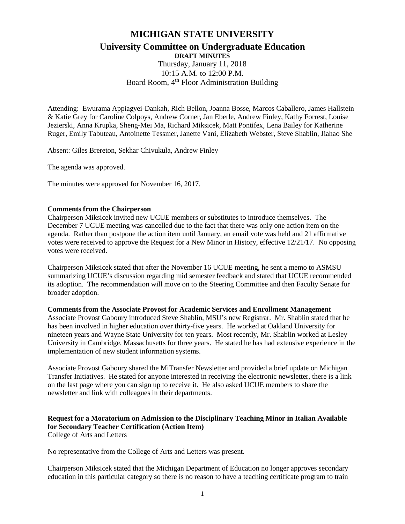# **MICHIGAN STATE UNIVERSITY University Committee on Undergraduate Education DRAFT MINUTES**

Thursday, January 11, 2018 10:15 A.M. to 12:00 P.M. Board Room, 4<sup>th</sup> Floor Administration Building

Attending: Ewurama Appiagyei-Dankah, Rich Bellon, Joanna Bosse, Marcos Caballero, James Hallstein & Katie Grey for Caroline Colpoys, Andrew Corner, Jan Eberle, Andrew Finley, Kathy Forrest, Louise Jezierski, Anna Krupka, Sheng-Mei Ma, Richard Miksicek, Matt Pontifex, Lena Bailey for Katherine Ruger, Emily Tabuteau, Antoinette Tessmer, Janette Vani, Elizabeth Webster, Steve Shablin, Jiahao She

Absent: Giles Brereton, Sekhar Chivukula, Andrew Finley

The agenda was approved.

The minutes were approved for November 16, 2017.

#### **Comments from the Chairperson**

Chairperson Miksicek invited new UCUE members or substitutes to introduce themselves. The December 7 UCUE meeting was cancelled due to the fact that there was only one action item on the agenda. Rather than postpone the action item until January, an email vote was held and 21 affirmative votes were received to approve the Request for a New Minor in History, effective 12/21/17. No opposing votes were received.

Chairperson Miksicek stated that after the November 16 UCUE meeting, he sent a memo to ASMSU summarizing UCUE's discussion regarding mid semester feedback and stated that UCUE recommended its adoption. The recommendation will move on to the Steering Committee and then Faculty Senate for broader adoption.

#### **Comments from the Associate Provost for Academic Services and Enrollment Management**

Associate Provost Gaboury introduced Steve Shablin, MSU's new Registrar. Mr. Shablin stated that he has been involved in higher education over thirty-five years. He worked at Oakland University for nineteen years and Wayne State University for ten years. Most recently, Mr. Shablin worked at Lesley University in Cambridge, Massachusetts for three years. He stated he has had extensive experience in the implementation of new student information systems.

Associate Provost Gaboury shared the MiTransfer Newsletter and provided a brief update on Michigan Transfer Initiatives. He stated for anyone interested in receiving the electronic newsletter, there is a link on the last page where you can sign up to receive it. He also asked UCUE members to share the newsletter and link with colleagues in their departments.

#### **Request for a Moratorium on Admission to the Disciplinary Teaching Minor in Italian Available for Secondary Teacher Certification (Action Item)** College of Arts and Letters

No representative from the College of Arts and Letters was present.

Chairperson Miksicek stated that the Michigan Department of Education no longer approves secondary education in this particular category so there is no reason to have a teaching certificate program to train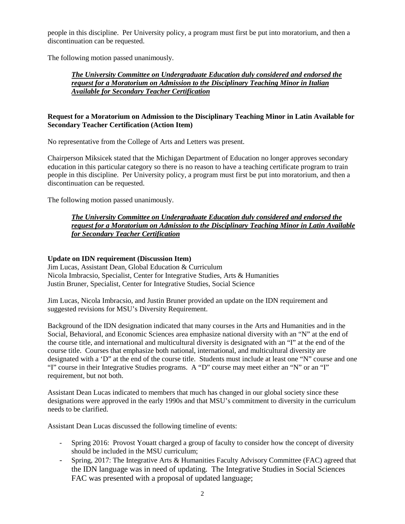people in this discipline. Per University policy, a program must first be put into moratorium, and then a discontinuation can be requested.

The following motion passed unanimously.

*The University Committee on Undergraduate Education duly considered and endorsed the request for a Moratorium on Admission to the Disciplinary Teaching Minor in Italian Available for Secondary Teacher Certification*

# **Request for a Moratorium on Admission to the Disciplinary Teaching Minor in Latin Available for Secondary Teacher Certification (Action Item)**

No representative from the College of Arts and Letters was present.

Chairperson Miksicek stated that the Michigan Department of Education no longer approves secondary education in this particular category so there is no reason to have a teaching certificate program to train people in this discipline. Per University policy, a program must first be put into moratorium, and then a discontinuation can be requested.

The following motion passed unanimously.

# *The University Committee on Undergraduate Education duly considered and endorsed the request for a Moratorium on Admission to the Disciplinary Teaching Minor in Latin Available for Secondary Teacher Certification*

## **Update on IDN requirement (Discussion Item)**

Jim Lucas, Assistant Dean, Global Education & Curriculum Nicola Imbracsio, Specialist, Center for Integrative Studies, Arts & Humanities Justin Bruner, Specialist, Center for Integrative Studies, Social Science

Jim Lucas, Nicola Imbracsio, and Justin Bruner provided an update on the IDN requirement and suggested revisions for MSU's Diversity Requirement.

Background of the IDN designation indicated that many courses in the Arts and Humanities and in the Social, Behavioral, and Economic Sciences area emphasize national diversity with an "N" at the end of the course title, and international and multicultural diversity is designated with an "I" at the end of the course title. Courses that emphasize both national, international, and multicultural diversity are designated with a 'D" at the end of the course title. Students must include at least one "N" course and one "I" course in their Integrative Studies programs. A "D" course may meet either an "N" or an "I" requirement, but not both.

Assistant Dean Lucas indicated to members that much has changed in our global society since these designations were approved in the early 1990s and that MSU's commitment to diversity in the curriculum needs to be clarified.

Assistant Dean Lucas discussed the following timeline of events:

- Spring 2016: Provost Youatt charged a group of faculty to consider how the concept of diversity should be included in the MSU curriculum;
- Spring, 2017: The Integrative Arts & Humanities Faculty Advisory Committee (FAC) agreed that the IDN language was in need of updating. The Integrative Studies in Social Sciences FAC was presented with a proposal of updated language;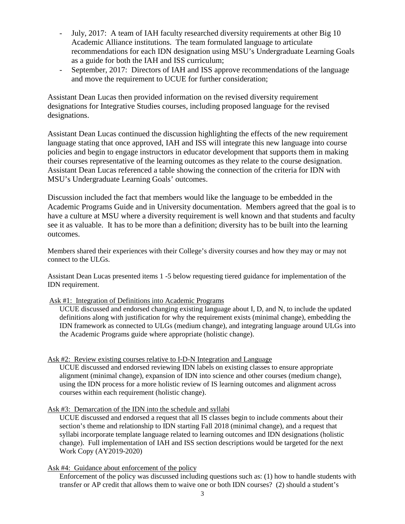- July, 2017: A team of IAH faculty researched diversity requirements at other Big 10 Academic Alliance institutions. The team formulated language to articulate recommendations for each IDN designation using MSU's Undergraduate Learning Goals as a guide for both the IAH and ISS curriculum;
- September, 2017: Directors of IAH and ISS approve recommendations of the language and move the requirement to UCUE for further consideration;

Assistant Dean Lucas then provided information on the revised diversity requirement designations for Integrative Studies courses, including proposed language for the revised designations.

Assistant Dean Lucas continued the discussion highlighting the effects of the new requirement language stating that once approved, IAH and ISS will integrate this new language into course policies and begin to engage instructors in educator development that supports them in making their courses representative of the learning outcomes as they relate to the course designation. Assistant Dean Lucas referenced a table showing the connection of the criteria for IDN with MSU's Undergraduate Learning Goals' outcomes.

Discussion included the fact that members would like the language to be embedded in the Academic Programs Guide and in University documentation. Members agreed that the goal is to have a culture at MSU where a diversity requirement is well known and that students and faculty see it as valuable. It has to be more than a definition; diversity has to be built into the learning outcomes.

Members shared their experiences with their College's diversity courses and how they may or may not connect to the ULGs.

Assistant Dean Lucas presented items 1 -5 below requesting tiered guidance for implementation of the IDN requirement.

## Ask #1: Integration of Definitions into Academic Programs

UCUE discussed and endorsed changing existing language about I, D, and N, to include the updated definitions along with justification for why the requirement exists (minimal change), embedding the IDN framework as connected to ULGs (medium change), and integrating language around ULGs into the Academic Programs guide where appropriate (holistic change).

## Ask #2: Review existing courses relative to I-D-N Integration and Language

UCUE discussed and endorsed reviewing IDN labels on existing classes to ensure appropriate alignment (minimal change), expansion of IDN into science and other courses (medium change), using the IDN process for a more holistic review of IS learning outcomes and alignment across courses within each requirement (holistic change).

## Ask #3: Demarcation of the IDN into the schedule and syllabi

UCUE discussed and endorsed a request that all IS classes begin to include comments about their section's theme and relationship to IDN starting Fall 2018 (minimal change), and a request that syllabi incorporate template language related to learning outcomes and IDN designations (holistic change). Full implementation of IAH and ISS section descriptions would be targeted for the next Work Copy (AY2019-2020)

## Ask #4: Guidance about enforcement of the policy

Enforcement of the policy was discussed including questions such as: (1) how to handle students with transfer or AP credit that allows them to waive one or both IDN courses? (2) should a student's